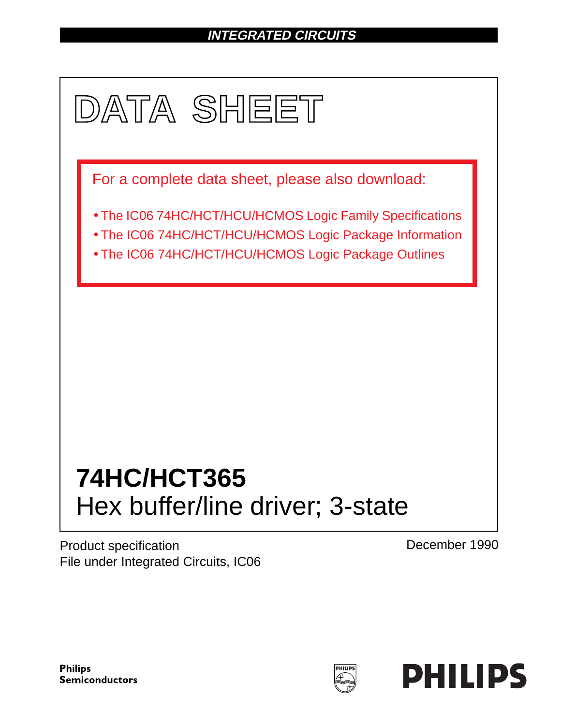# **INTEGRATED CIRCUITS**



Product specification File under Integrated Circuits, IC06 December 1990

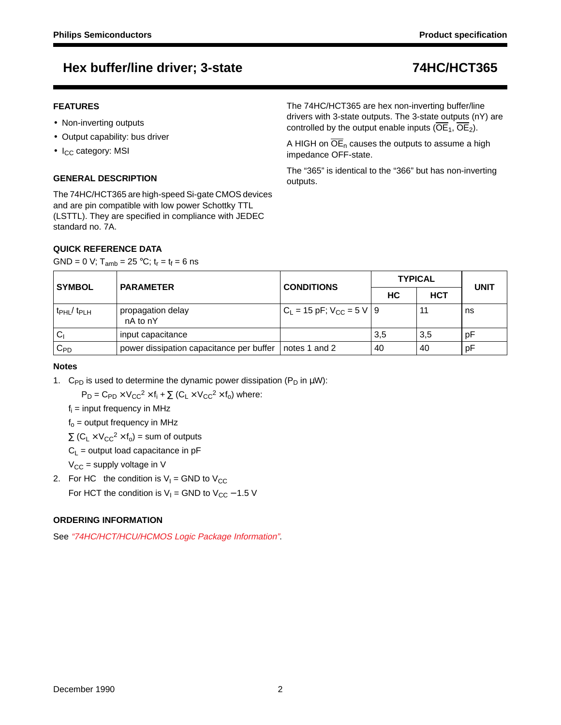### **FEATURES**

- Non-inverting outputs
- Output capability: bus driver
- $\bullet$  I<sub>CC</sub> category: MSI

### **GENERAL DESCRIPTION**

The 74HC/HCT365 are high-speed Si-gate CMOS devices and are pin compatible with low power Schottky TTL (LSTTL). They are specified in compliance with JEDEC standard no. 7A.

### **QUICK REFERENCE DATA**

GND = 0 V;  $T_{amb}$  = 25 °C;  $t_r = t_f = 6$  ns

The 74HC/HCT365 are hex non-inverting buffer/line drivers with 3-state outputs. The 3-state outputs (nY) are controlled by the output enable inputs ( $\overline{OE}_1$ ,  $\overline{OE}_2$ ).

A HIGH on  $\overline{OE}_n$  causes the outputs to assume a high impedance OFF-state.

The "365" is identical to the "366" but has non-inverting outputs.

| <b>SYMBOL</b>                 | <b>PARAMETER</b>                                         | <b>CONDITIONS</b>                 | <b>TYPICAL</b> | <b>UNIT</b> |    |
|-------------------------------|----------------------------------------------------------|-----------------------------------|----------------|-------------|----|
|                               |                                                          |                                   | НC             |             |    |
| $t_{\rm PHL}$ / $t_{\rm PLH}$ | propagation delay<br>nA to nY                            | $C_L$ = 15 pF; $V_{CC}$ = 5 V   9 |                |             | ns |
| $C_1$                         | input capacitance                                        |                                   | 3,5            | 3,5         | рF |
| $\mathtt{C_{PD}}$             | power dissipation capacitance per buffer   notes 1 and 2 |                                   | 40             | 40          | рF |

### **Notes**

1. C<sub>PD</sub> is used to determine the dynamic power dissipation ( $P_D$  in  $\mu W$ ):

 $P_D = C_{PD} \times V_{CC}^2 \times f_i + \sum (C_L \times V_{CC}^2 \times f_o)$  where:

 $f_i$  = input frequency in MHz

 $f_0$  = output frequency in MHz

 $\Sigma$  (C<sub>L</sub> × V<sub>CC</sub><sup>2</sup> × f<sub>o</sub>) = sum of outputs

 $C_L$  = output load capacitance in pF

 $V_{CC}$  = supply voltage in V

2. For HC the condition is  $V_1 =$  GND to  $V_{CC}$ For HCT the condition is  $V_1$  = GND to  $V_{CC}$  – 1.5 V

### **ORDERING INFORMATION**

See "74HC/HCT/HCU/HCMOS Logic Package Information".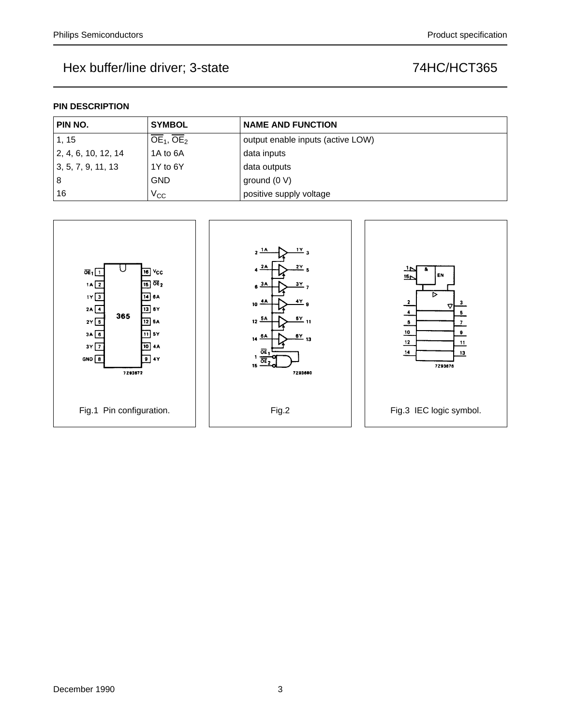### **PIN DESCRIPTION**

| PIN NO.              | <b>SYMBOL</b> | <b>NAME AND FUNCTION</b>          |
|----------------------|---------------|-----------------------------------|
| 1, 15                | $OE1$ , $OE2$ | output enable inputs (active LOW) |
| 12, 4, 6, 10, 12, 14 | 1A to 6A      | data inputs                       |
| 3, 5, 7, 9, 11, 13   | 1Y to 6Y      | data outputs                      |
| 8                    | <b>GND</b>    | ground $(0 V)$                    |
| 16                   | $V_{\rm CC}$  | positive supply voltage           |

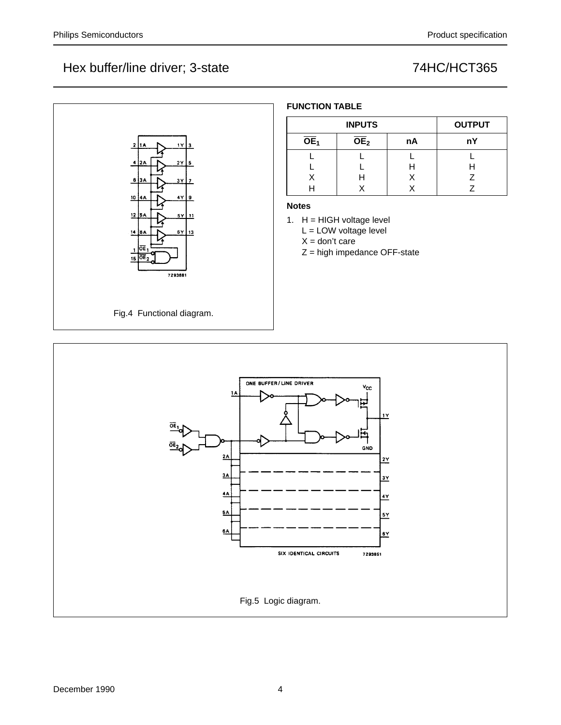

Fig.5 Logic diagram.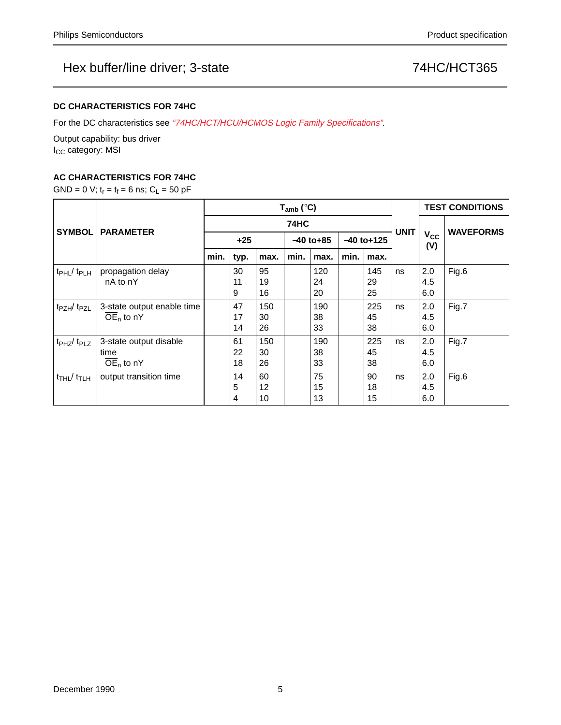### **DC CHARACTERISTICS FOR 74HC**

For the DC characteristics see "74HC/HCT/HCU/HCMOS Logic Family Specifications".

Output capability: bus driver I<sub>CC</sub> category: MSI

### **AC CHARACTERISTICS FOR 74HC**

GND = 0 V;  $t_r = t_f = 6$  ns;  $C_L = 50$  pF

|                                           | <b>PARAMETER</b>           | $T_{amb}$ (°C) |      |      |              |      |              |      |             | <b>TEST CONDITIONS</b>       |                  |
|-------------------------------------------|----------------------------|----------------|------|------|--------------|------|--------------|------|-------------|------------------------------|------------------|
| <b>SYMBOL</b>                             |                            | 74HC           |      |      |              |      |              |      |             |                              | <b>WAVEFORMS</b> |
|                                           |                            | $+25$          |      |      | $-40$ to +85 |      | $-40$ to+125 |      | <b>UNIT</b> | <b>V<sub>cc</sub></b><br>(V) |                  |
|                                           |                            | min.           | typ. | max. | min.         | max. | min.         | max. |             |                              |                  |
| $t_{\rm PHL}/t_{\rm PLH}$                 | propagation delay          |                | 30   | 95   |              | 120  |              | 145  | ns          | 2.0                          | Fig.6            |
|                                           | nA to nY                   |                | 11   | 19   |              | 24   |              | 29   |             | 4.5                          |                  |
|                                           |                            |                | 9    | 16   |              | 20   |              | 25   |             | 6.0                          |                  |
| t <sub>PZH</sub> /t <sub>PZL</sub>        | 3-state output enable time |                | 47   | 150  |              | 190  |              | 225  | ns          | 2.0                          | Fig.7            |
|                                           | $\overline{OE}_n$ to nY    |                | 17   | 30   |              | 38   |              | 45   |             | 4.5                          |                  |
|                                           |                            |                | 14   | 26   |              | 33   |              | 38   |             | 6.0                          |                  |
| t <sub>PHZ</sub> /t <sub>PLZ</sub>        | 3-state output disable     |                | 61   | 150  |              | 190  |              | 225  | ns          | 2.0                          | Fig.7            |
|                                           | time                       |                | 22   | 30   |              | 38   |              | 45   |             | 4.5                          |                  |
|                                           | $\overline{OE}_n$ to nY    |                | 18   | 26   |              | 33   |              | 38   |             | 6.0                          |                  |
| $t$ <sub>THL</sub> $/$ $t$ <sub>TLH</sub> | output transition time     |                | 14   | 60   |              | 75   |              | 90   | ns          | 2.0                          | Fig.6            |
|                                           |                            |                | 5    | 12   |              | 15   |              | 18   |             | 4.5                          |                  |
|                                           |                            |                | 4    | 10   |              | 13   |              | 15   |             | 6.0                          |                  |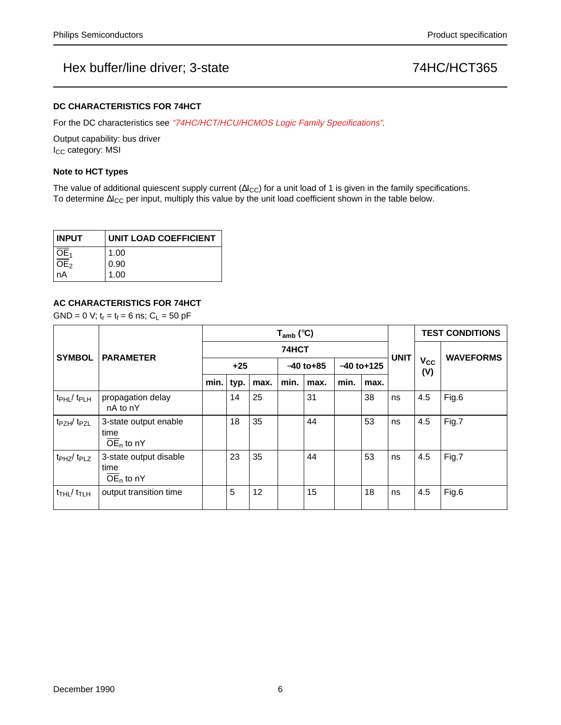### **DC CHARACTERISTICS FOR 74HCT**

For the DC characteristics see "74HC/HCT/HCU/HCMOS Logic Family Specifications".

Output capability: bus driver I<sub>CC</sub> category: MSI

### **Note to HCT types**

The value of additional quiescent supply current ( $\Delta I_{CC}$ ) for a unit load of 1 is given in the family specifications. To determine ∆I<sub>CC</sub> per input, multiply this value by the unit load coefficient shown in the table below.

| <b>INPUT</b>      | <b>UNIT LOAD COEFFICIENT</b> |  |  |  |  |  |  |
|-------------------|------------------------------|--|--|--|--|--|--|
| $\overline{OE}_1$ | 1.00                         |  |  |  |  |  |  |
| $\overline{OE}_2$ | 0.90                         |  |  |  |  |  |  |
| nA                | 1.00                         |  |  |  |  |  |  |

### **AC CHARACTERISTICS FOR 74HCT**

 $GND = 0$  V;  $t_r = t_f = 6$  ns;  $C_L = 50$  pF

|                                        | <b>PARAMETER</b>                                          | $T_{amb}$ (°C) |      |      |              |      |              |      |             | <b>TEST CONDITIONS</b> |                  |
|----------------------------------------|-----------------------------------------------------------|----------------|------|------|--------------|------|--------------|------|-------------|------------------------|------------------|
| <b>SYMBOL</b>                          |                                                           | 74HCT          |      |      |              |      |              |      |             |                        | <b>WAVEFORMS</b> |
|                                        |                                                           | $+25$          |      |      | $-40$ to +85 |      | $-40$ to+125 |      | <b>UNIT</b> | Vcc<br>(V)             |                  |
|                                        |                                                           | min.           | typ. | max. | min.         | max. | min.         | max. |             |                        |                  |
| t <sub>PHL</sub> / t <sub>PLH</sub>    | propagation delay<br>nA to nY                             |                | 14   | 25   |              | 31   |              | 38   | ns          | 4.5                    | Fig.6            |
| t <sub>PZH</sub> /t <sub>PZL</sub>     | 3-state output enable<br>time<br>$\overline{OE}_n$ to nY  |                | 18   | 35   |              | 44   |              | 53   | ns          | 4.5                    | Fig.7            |
| t <sub>PHZ</sub> /t <sub>PLZ</sub>     | 3-state output disable<br>time<br>$\overline{OE}_n$ to nY |                | 23   | 35   |              | 44   |              | 53   | ns          | 4.5                    | Fig.7            |
| $t$ <sub>THL</sub> $/t$ <sub>TLH</sub> | output transition time                                    |                | 5    | 12   |              | 15   |              | 18   | ns          | 4.5                    | Fig.6            |